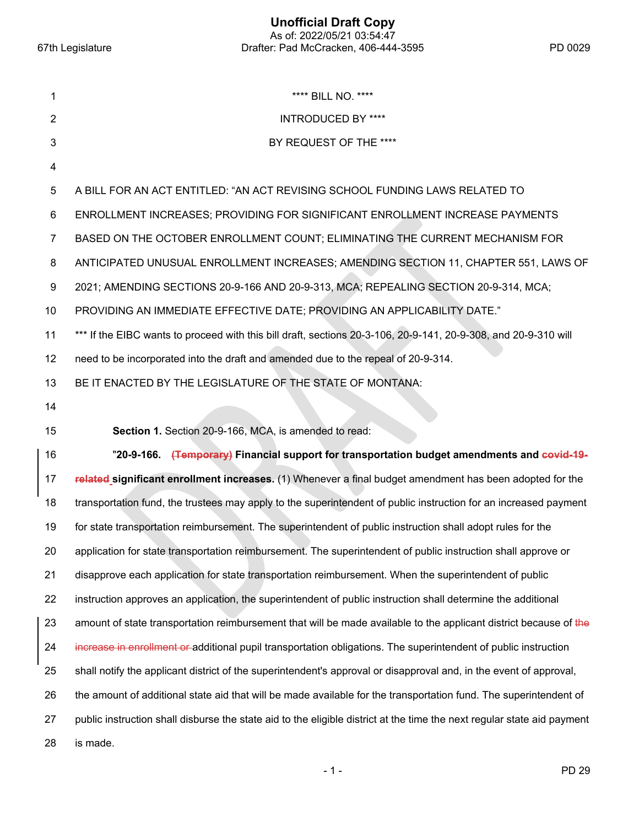**Unofficial Draft Copy**  As of: 2022/05/21 03:54:47 67th Legislature Drafter: Pad McCracken, 406-444-3595 PD 0029

| 1  | **** BILL NO. ****                                                                                                      |
|----|-------------------------------------------------------------------------------------------------------------------------|
| 2  | <b>INTRODUCED BY ****</b>                                                                                               |
| 3  | BY REQUEST OF THE ****                                                                                                  |
| 4  |                                                                                                                         |
| 5  | A BILL FOR AN ACT ENTITLED: "AN ACT REVISING SCHOOL FUNDING LAWS RELATED TO                                             |
| 6  | ENROLLMENT INCREASES; PROVIDING FOR SIGNIFICANT ENROLLMENT INCREASE PAYMENTS                                            |
| 7  | BASED ON THE OCTOBER ENROLLMENT COUNT; ELIMINATING THE CURRENT MECHANISM FOR                                            |
| 8  | ANTICIPATED UNUSUAL ENROLLMENT INCREASES; AMENDING SECTION 11, CHAPTER 551, LAWS OF                                     |
| 9  | 2021; AMENDING SECTIONS 20-9-166 AND 20-9-313, MCA; REPEALING SECTION 20-9-314, MCA;                                    |
| 10 | PROVIDING AN IMMEDIATE EFFECTIVE DATE; PROVIDING AN APPLICABILITY DATE."                                                |
| 11 | *** If the EIBC wants to proceed with this bill draft, sections 20-3-106, 20-9-141, 20-9-308, and 20-9-310 will         |
| 12 | need to be incorporated into the draft and amended due to the repeal of 20-9-314.                                       |
| 13 | BE IT ENACTED BY THE LEGISLATURE OF THE STATE OF MONTANA:                                                               |
| 14 |                                                                                                                         |
| 15 | Section 1. Section 20-9-166, MCA, is amended to read:                                                                   |
| 16 | "20-9-166. (Temporary) Financial support for transportation budget amendments and covid-19-                             |
| 17 | related significant enrollment increases. (1) Whenever a final budget amendment has been adopted for the                |
| 18 | transportation fund, the trustees may apply to the superintendent of public instruction for an increased payment        |
| 19 | for state transportation reimbursement. The superintendent of public instruction shall adopt rules for the              |
| 20 | application for state transportation reimbursement. The superintendent of public instruction shall approve or           |
| 21 | disapprove each application for state transportation reimbursement. When the superintendent of public                   |
| 22 | instruction approves an application, the superintendent of public instruction shall determine the additional            |
| 23 | amount of state transportation reimbursement that will be made available to the applicant district because of the       |
| 24 | increase in enrollment or additional pupil transportation obligations. The superintendent of public instruction         |
| 25 | shall notify the applicant district of the superintendent's approval or disapproval and, in the event of approval,      |
| 26 | the amount of additional state aid that will be made available for the transportation fund. The superintendent of       |
| 27 | public instruction shall disburse the state aid to the eligible district at the time the next regular state aid payment |
| 28 | is made.                                                                                                                |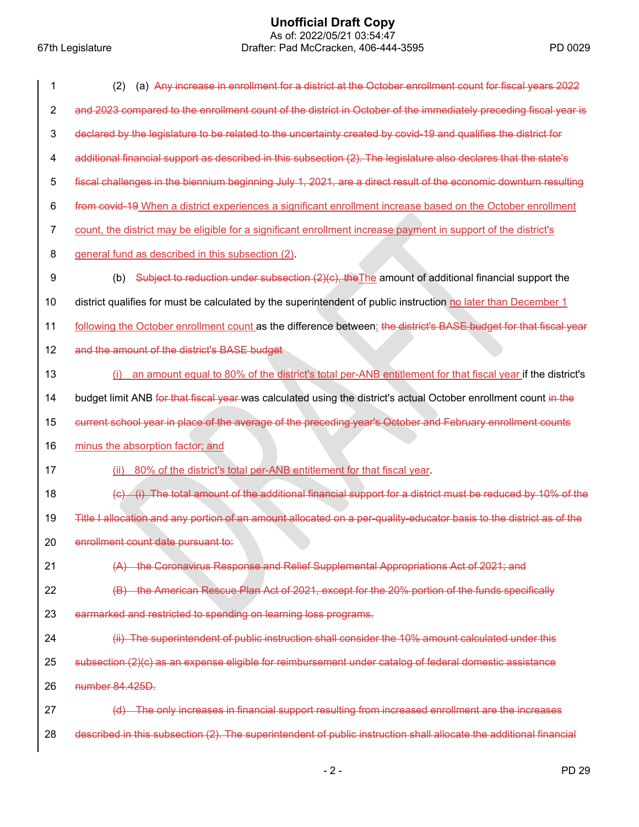# **Unofficial Draft Copy**

 As of: 2022/05/21 03:54:47 67th Legislature Drafter: Pad McCracken, 406-444-3595 PD 0029

| 1                       | (a) Any increase in enrollment for a district at the October enrollment count for fiscal years 2022<br>(2)                       |
|-------------------------|----------------------------------------------------------------------------------------------------------------------------------|
| $\overline{2}$          | and 2023 compared to the enrollment count of the district in October of the immediately preceding fiscal year is                 |
| $\mathbf{3}$            | declared by the legislature to be related to the uncertainty created by covid-19 and qualifies the district for                  |
| $\overline{\mathbf{4}}$ | additional financial support as described in this subsection (2). The legislature also declares that the state's                 |
| 5                       | fiscal challenges in the biennium beginning July 1, 2021, are a direct result of the economic downturn resulting                 |
| 6                       | from covid-19 When a district experiences a significant enrollment increase based on the October enrollment                      |
| 7                       | count, the district may be eligible for a significant enrollment increase payment in support of the district's                   |
| 8                       | general fund as described in this subsection (2).                                                                                |
| 9                       | Subject to reduction under subsection $(2)(c)$ , the The amount of additional financial support the<br>(b)                       |
| 10                      | district qualifies for must be calculated by the superintendent of public instruction no later than December 1                   |
| 11                      | following the October enrollment count as the difference between: the district's BASE budget for that fiscal year                |
| 12                      | and the amount of the district's BASE budget                                                                                     |
| 13                      | an amount equal to 80% of the district's total per-ANB entitlement for that fiscal year if the district's<br>(i)                 |
| 14                      | budget limit ANB for that fiscal year was calculated using the district's actual October enrollment count in the                 |
|                         |                                                                                                                                  |
| 15                      | current school year in place of the average of the preceding year's October and February enrollment counts                       |
| 16                      | minus the absorption factor; and                                                                                                 |
| 17                      | 80% of the district's total per-ANB entitlement for that fiscal year.<br>(ii)                                                    |
| 18                      | (i) The total amount of the additional financial support for a district must be reduced by 10% of the<br>$\left( \Theta \right)$ |
| 19                      | Title I allocation and any portion of an amount allocated on a per-quality-educator basis to the district as of the              |
| 20                      | enrollment count date pursuant to:                                                                                               |
| 21                      | (A) the Coronavirus Response and Relief Supplemental Appropriations Act of 2021; and                                             |
| 22                      | (B) the American Rescue Plan Act of 2021, except for the 20% portion of the funds specifically                                   |
| 23                      | earmarked and restricted to spending on learning loss programs.                                                                  |
| 24                      | (ii) The superintendent of public instruction shall consider the 10% amount calculated under this                                |
| 25                      | subsection (2)(c) as an expense eligible for reimbursement under catalog of federal domestic assistance                          |
| 26                      | number 84.425D.                                                                                                                  |
| 27                      | (d) The only increases in financial support resulting from increased enrollment are the increases                                |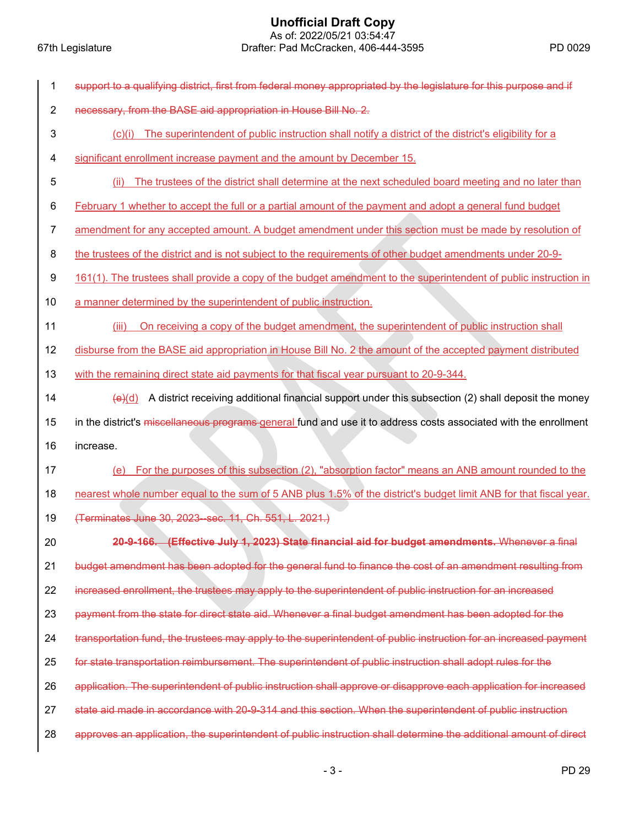| 1              | support to a qualifying district, first from federal money appropriated by the legislature for this purpose and if |
|----------------|--------------------------------------------------------------------------------------------------------------------|
| $\overline{2}$ | necessary, from the BASE aid appropriation in House Bill No. 2.                                                    |
| 3              | The superintendent of public instruction shall notify a district of the district's eligibility for a<br>(C)(i)     |
| 4              | significant enrollment increase payment and the amount by December 15.                                             |
| 5              | The trustees of the district shall determine at the next scheduled board meeting and no later than<br>(ii)         |
| 6              | February 1 whether to accept the full or a partial amount of the payment and adopt a general fund budget           |
| $\overline{7}$ | amendment for any accepted amount. A budget amendment under this section must be made by resolution of             |
| 8              | the trustees of the district and is not subject to the requirements of other budget amendments under 20-9-         |
| 9              | 161(1). The trustees shall provide a copy of the budget amendment to the superintendent of public instruction in   |
| 10             | a manner determined by the superintendent of public instruction.                                                   |
| 11             | On receiving a copy of the budget amendment, the superintendent of public instruction shall<br>(iii)               |
| 12             | disburse from the BASE aid appropriation in House Bill No. 2 the amount of the accepted payment distributed        |
| 13             | with the remaining direct state aid payments for that fiscal year pursuant to 20-9-344.                            |
| 14             | A district receiving additional financial support under this subsection (2) shall deposit the money<br>$\Theta(d)$ |
|                |                                                                                                                    |
| 15             | in the district's miscellaneous programs general fund and use it to address costs associated with the enrollment   |
| 16             | increase.                                                                                                          |
| 17             | For the purposes of this subsection (2), "absorption factor" means an ANB amount rounded to the<br>(e)             |
| 18             | nearest whole number equal to the sum of 5 ANB plus 1.5% of the district's budget limit ANB for that fiscal year.  |
| 19             | (Terminates June 30, 2023–sec. 11, Ch. 551, L. 2021.)                                                              |
| 20             | 20-9-166. (Effective July 1, 2023) State financial aid for budget amendments. Whenever a final                     |
| 21             | budget amendment has been adopted for the general fund to finance the cost of an amendment resulting from          |
| 22             | increased enrollment, the trustees may apply to the superintendent of public instruction for an increased          |
| 23             | payment from the state for direct state aid. Whenever a final budget amendment has been adopted for the            |
| 24             | transportation fund, the trustees may apply to the superintendent of public instruction for an increased payment   |
| 25             | for state transportation reimbursement. The superintendent of public instruction shall adopt rules for the         |
| 26             | application. The superintendent of public instruction shall approve or disapprove each application for increased   |
| 27             | state aid made in accordance with 20-9-314 and this section. When the superintendent of public instruction         |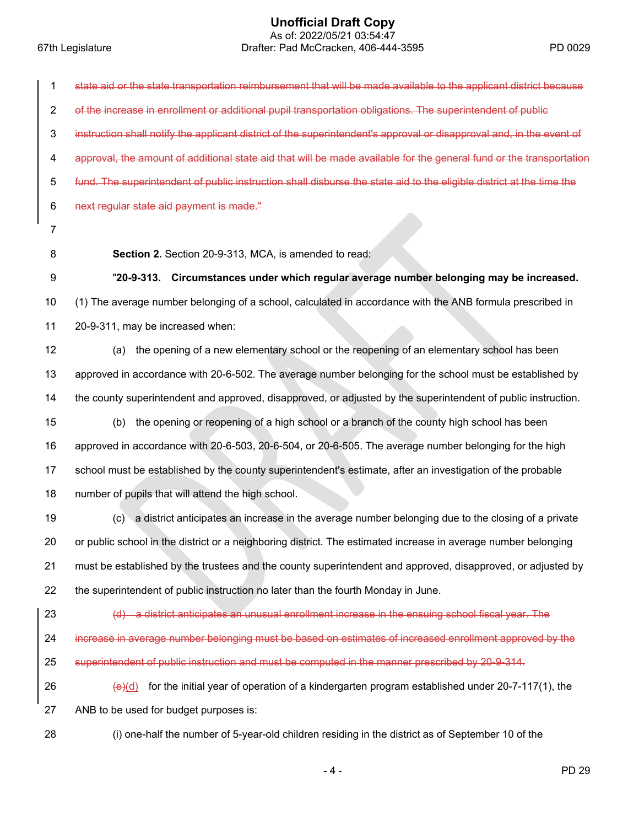## **Unofficial Draft Copy**

 As of: 2022/05/21 03:54:47 67th Legislature Drafter: Pad McCracken, 406-444-3595 PD 0029

| 1              | state aid or the state transportation reimbursement that will be made available to the applicant district because    |
|----------------|----------------------------------------------------------------------------------------------------------------------|
| $\overline{2}$ | of the increase in enrollment or additional pupil transportation obligations. The superintendent of public           |
| 3              | instruction shall notify the applicant district of the superintendent's approval or disapproval and, in the event of |
| 4              | approval, the amount of additional state aid that will be made available for the general fund or the transportation  |
| 5              | fund. The superintendent of public instruction shall disburse the state aid to the eligible district at the time the |
| 6              | next regular state aid payment is made."                                                                             |
| 7              |                                                                                                                      |
| 8              | Section 2. Section 20-9-313, MCA, is amended to read:                                                                |
| 9              | "20-9-313. Circumstances under which regular average number belonging may be increased.                              |
| 10             | (1) The average number belonging of a school, calculated in accordance with the ANB formula prescribed in            |
| 11             | 20-9-311, may be increased when:                                                                                     |
| 12             | the opening of a new elementary school or the reopening of an elementary school has been<br>(a)                      |
| 13             | approved in accordance with 20-6-502. The average number belonging for the school must be established by             |
| 14             | the county superintendent and approved, disapproved, or adjusted by the superintendent of public instruction.        |
| 15             | the opening or reopening of a high school or a branch of the county high school has been<br>(b)                      |
| 16             | approved in accordance with 20-6-503, 20-6-504, or 20-6-505. The average number belonging for the high               |
| 17             | school must be established by the county superintendent's estimate, after an investigation of the probable           |
| 18             | number of pupils that will attend the high school.                                                                   |
| 19             | (c) a district anticipates an increase in the average number belonging due to the closing of a private               |
| 20             | or public school in the district or a neighboring district. The estimated increase in average number belonging       |
| 21             | must be established by the trustees and the county superintendent and approved, disapproved, or adjusted by          |
| 22             | the superintendent of public instruction no later than the fourth Monday in June.                                    |
| 23             | (d) a district anticipates an unusual enrollment increase in the ensuing school fiscal year. The                     |
| 24             | increase in average number belonging must be based on estimates of increased enrollment approved by the              |
| 25             | superintendent of public instruction and must be computed in the manner prescribed by 20-9-314.                      |
| 26             | for the initial year of operation of a kindergarten program established under 20-7-117(1), the<br>$\Theta$ (d)       |
| 27             | ANB to be used for budget purposes is:                                                                               |
| 28             | (i) one-half the number of 5-year-old children residing in the district as of September 10 of the                    |
|                |                                                                                                                      |